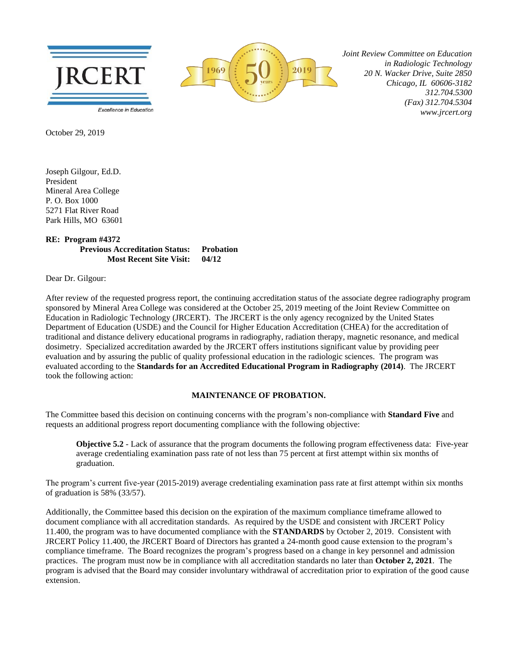



 *Joint Review Committee on Education in Radiologic Technology 20 N. Wacker Drive, Suite 2850 Chicago, IL 60606-3182 312.704.5300 (Fax) 312.704.5304 www.jrcert.org*

October 29, 2019

Joseph Gilgour, Ed.D. President Mineral Area College P. O. Box 1000 5271 Flat River Road Park Hills, MO 63601

## **RE: Program #4372 Previous Accreditation Status: Probation Most Recent Site Visit: 04/12**

Dear Dr. Gilgour:

After review of the requested progress report, the continuing accreditation status of the associate degree radiography program sponsored by Mineral Area College was considered at the October 25, 2019 meeting of the Joint Review Committee on Education in Radiologic Technology (JRCERT). The JRCERT is the only agency recognized by the United States Department of Education (USDE) and the Council for Higher Education Accreditation (CHEA) for the accreditation of traditional and distance delivery educational programs in radiography, radiation therapy, magnetic resonance, and medical dosimetry. Specialized accreditation awarded by the JRCERT offers institutions significant value by providing peer evaluation and by assuring the public of quality professional education in the radiologic sciences. The program was evaluated according to the **Standards for an Accredited Educational Program in Radiography (2014)**. The JRCERT took the following action:

## **MAINTENANCE OF PROBATION.**

The Committee based this decision on continuing concerns with the program's non-compliance with **Standard Five** and requests an additional progress report documenting compliance with the following objective:

**Objective 5.2** - Lack of assurance that the program documents the following program effectiveness data: Five-year average credentialing examination pass rate of not less than 75 percent at first attempt within six months of graduation.

The program's current five-year (2015-2019) average credentialing examination pass rate at first attempt within six months of graduation is 58% (33/57).

Additionally, the Committee based this decision on the expiration of the maximum compliance timeframe allowed to document compliance with all accreditation standards. As required by the USDE and consistent with JRCERT Policy 11.400, the program was to have documented compliance with the **STANDARDS** by October 2, 2019. Consistent with JRCERT Policy 11.400, the JRCERT Board of Directors has granted a 24-month good cause extension to the program's compliance timeframe. The Board recognizes the program's progress based on a change in key personnel and admission practices. The program must now be in compliance with all accreditation standards no later than **October 2, 2021**.The program is advised that the Board may consider involuntary withdrawal of accreditation prior to expiration of the good cause extension.